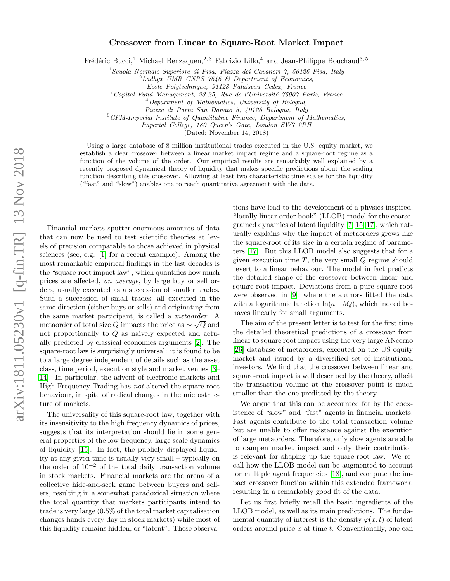## Crossover from Linear to Square-Root Market Impact

Frédéric Bucci,<sup>1</sup> Michael Benzaquen,<sup>2, 3</sup> Fabrizio Lillo,<sup>4</sup> and Jean-Philippe Bouchaud<sup>3, 5</sup>

 $1$ Scuola Normale Superiore di Pisa, Piazza dei Cavalieri 7, 56126 Pisa, Italy

Ecole Polytechnique, 91128 Palaiseau Cedex, France

<sup>3</sup>Capital Fund Management, 23-25, Rue de l'Université 75007 Paris, France

 $5$  CFM-Imperial Institute of Quantitative Finance, Department of Mathematics,

Imperial College, 180 Queen's Gate, London SW7 2RH

(Dated: November 14, 2018)

Using a large database of 8 million institutional trades executed in the U.S. equity market, we establish a clear crossover between a linear market impact regime and a square-root regime as a function of the volume of the order. Our empirical results are remarkably well explained by a recently proposed dynamical theory of liquidity that makes specific predictions about the scaling function describing this crossover. Allowing at least two characteristic time scales for the liquidity ("fast" and "slow") enables one to reach quantitative agreement with the data.

Financial markets sputter enormous amounts of data that can now be used to test scientific theories at levels of precision comparable to those achieved in physical sciences (see, e.g. [\[1\]](#page-3-0) for a recent example). Among the most remarkable empirical findings in the last decades is the "square-root impact law", which quantifies how much prices are affected, on average, by large buy or sell orders, usually executed as a succession of smaller trades. Such a succession of small trades, all executed in the same direction (either buys or sells) and originating from the same market participant, is called a metaorder. A metaorder of total size Q impacts the price as  $\sim \sqrt{Q}$  and not proportionally to Q as naively expected and actually predicted by classical economics arguments [\[2\]](#page-3-1). The square-root law is surprisingly universal: it is found to be to a large degree independent of details such as the asset class, time period, execution style and market venues [\[3–](#page-3-2) [14\]](#page-4-0). In particular, the advent of electronic markets and High Frequency Trading has not altered the square-root behaviour, in spite of radical changes in the microstructure of markets.

The universality of this square-root law, together with its insensitivity to the high frequency dynamics of prices, suggests that its interpretation should lie in some general properties of the low frequency, large scale dynamics of liquidity [\[15\]](#page-4-1). In fact, the publicly displayed liquidity at any given time is usually very small – typically on the order of  $10^{-2}$  of the total daily transaction volume in stock markets. Financial markets are the arena of a collective hide-and-seek game between buyers and sellers, resulting in a somewhat paradoxical situation where the total quantity that markets participants intend to trade is very large (0.5% of the total market capitalisation changes hands every day in stock markets) while most of this liquidity remains hidden, or "latent". These observa-

tions have lead to the development of a physics inspired, "locally linear order book" (LLOB) model for the coarsegrained dynamics of latent liquidity [\[7,](#page-4-2) [15–](#page-4-1)[17\]](#page-4-3), which naturally explains why the impact of metaorders grows like the square-root of its size in a certain regime of parameters [\[17\]](#page-4-3). But this LLOB model also suggests that for a given execution time  $T$ , the very small  $Q$  regime should revert to a linear behaviour. The model in fact predicts the detailed shape of the crossover between linear and square-root impact. Deviations from a pure square-root were observed in [\[9\]](#page-4-4), where the authors fitted the data with a logarithmic function  $\ln(a + bQ)$ , which indeed behaves linearly for small arguments.

The aim of the present letter is to test for the first time the detailed theoretical predictions of a crossover from linear to square root impact using the very large ANcerno [\[26\]](#page-4-5) database of metaorders, executed on the US equity market and issued by a diversified set of institutional investors. We find that the crossover between linear and square-root impact is well described by the theory, albeit the transaction volume at the crossover point is much smaller than the one predicted by the theory.

We argue that this can be accounted for by the coexistence of "slow" and "fast" agents in financial markets. Fast agents contribute to the total transaction volume but are unable to offer resistance against the execution of large metaorders. Therefore, only slow agents are able to dampen market impact and only their contribution is relevant for shaping up the square-root law. We recall how the LLOB model can be augmented to account for multiple agent frequencies [\[18\]](#page-4-6), and compute the impact crossover function within this extended framework, resulting in a remarkably good fit of the data.

Let us first briefly recall the basic ingredients of the LLOB model, as well as its main predictions. The fundamental quantity of interest is the density  $\varphi(x, t)$  of latent orders around price  $x$  at time  $t$ . Conventionally, one can

 $^{2}$ Ladhyx UMR CNRS 7646 & Department of Economics,

<sup>4</sup>Department of Mathematics, University of Bologna,

Piazza di Porta San Donato 5, 40126 Bologna, Italy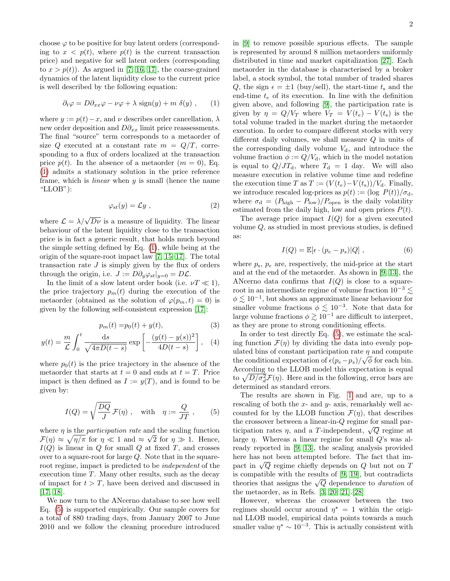choose  $\varphi$  to be positive for buy latent orders (corresponding to  $x < p(t)$ , where  $p(t)$  is the current transaction price) and negative for sell latent orders (corresponding to  $x > p(t)$ ). As argued in [\[7,](#page-4-2) [16,](#page-4-7) [17\]](#page-4-3), the coarse-grained dynamics of the latent liquidity close to the current price is well described by the following equation:

<span id="page-1-0"></span>
$$
\partial_t \varphi = D \partial_{xx} \varphi - \nu \varphi + \lambda \, \text{sign}(y) + m \, \delta(y) \;, \qquad (1)
$$

where  $y := p(t) - x$ , and  $\nu$  describes order cancellation,  $\lambda$ new order deposition and  $D\partial_{xx}$  limit price reassessments. The final "source" term corresponds to a metaorder of size Q executed at a constant rate  $m = Q/T$ , corresponding to a flux of orders localized at the transaction price  $p(t)$ . In the absence of a metaorder  $(m = 0)$ , Eq. [\(1\)](#page-1-0) admits a stationary solution in the price reference frame, which is *linear* when  $y$  is small (hence the name " $LLOB$ "):

$$
\varphi_{\rm st}(y) = \mathcal{L}y \;, \tag{2}
$$

where  $\mathcal{L} = \lambda / \sqrt{D \nu}$  is a measure of liquidity. The linear behaviour of the latent liquidity close to the transaction price is in fact a generic result, that holds much beyond the simple setting defined by Eq. [\(1\)](#page-1-0), while being at the origin of the square-root impact law [\[7,](#page-4-2) [15–](#page-4-1)[17\]](#page-4-3). The total transaction rate  $J$  is simply given by the flux of orders through the origin, i.e.  $J := D\partial_y\varphi_{st}|_{y=0} = D\mathcal{L}$ .

In the limit of a slow latent order book (i.e.  $\nu T \ll 1$ ), the price trajectory  $p_m(t)$  during the execution of the metaorder (obtained as the solution of  $\varphi(p_m, t) = 0$ ) is given by the following self-consistent expression [\[17\]](#page-4-3):

$$
p_m(t) = p_0(t) + y(t),
$$
\n(3)

$$
y(t) = \frac{m}{\mathcal{L}} \int_0^t \frac{\mathrm{d}s}{\sqrt{4\pi D(t-s)}} \exp\left[-\frac{(y(t)-y(s))^2}{4D(t-s)}\right], \quad (4)
$$

where  $p_0(t)$  is the price trajectory in the absence of the metaorder that starts at  $t = 0$  and ends at  $t = T$ . Price impact is then defined as  $I := y(T)$ , and is found to be given by:

<span id="page-1-1"></span>
$$
I(Q) = \sqrt{\frac{DQ}{J}} \mathcal{F}(\eta) , \quad \text{with} \quad \eta := \frac{Q}{JT} , \qquad (5)
$$

where  $\eta$  is the *participation rate* and the scaling function  $\mathcal{F}(\eta) \approx \sqrt{\eta/\pi}$  for  $\eta \ll 1$  and  $\approx \sqrt{2}$  for  $\eta \gg 1$ . Hence,  $I(Q)$  is linear in Q for small Q at fixed T, and crosses over to a square-root for large Q. Note that in the squareroot regime, impact is predicted to be independent of the execution time T. Many other results, such as the decay of impact for  $t > T$ , have been derived and discussed in [\[17,](#page-4-3) [18\]](#page-4-6).

We now turn to the ANcerno database to see how well Eq. [\(5\)](#page-1-1) is supported empirically. Our sample covers for a total of 880 trading days, from January 2007 to June 2010 and we follow the cleaning procedure introduced

in [\[9\]](#page-4-4) to remove possible spurious effects. The sample is represented by around 8 million metaorders uniformly distributed in time and market capitalization [\[27\]](#page-4-8). Each metaorder in the database is characterised by a broker label, a stock symbol, the total number of traded shares Q, the sign  $\epsilon = \pm 1$  (buy/sell), the start-time  $t_s$  and the end-time  $t_e$  of its execution. In line with the definition given above, and following [\[9\]](#page-4-4), the participation rate is given by  $\eta = Q/V_T$  where  $V_T = V(t_e) - V(t_s)$  is the total volume traded in the market during the metaorder execution. In order to compare different stocks with very different daily volumes, we shall measure Q in units of the corresponding daily volume  $V_{d}$ , and introduce the volume fraction  $\phi := Q/V_d$ , which in the model notation is equal to  $Q/JT_{\rm d}$ , where  $T_{\rm d} = 1$  day. We will also measure execution in relative volume time and redefine the execution time T as  $T := (V(t_e) - V(t_s))/V_d$ . Finally, we introduce rescaled log-prices as  $p(t) := (\log P(t))/\sigma_d$ , where  $\sigma_{\rm d} = (P_{\rm high} - P_{\rm low})/P_{\rm open}$  is the daily volatility estimated from the daily high, low and open prices  $P(t)$ .

The average price impact  $I(Q)$  for a given executed volume Q, as studied in most previous studies, is defined as:

$$
I(Q) = \mathbb{E}[\epsilon \cdot (p_e - p_s)|Q], \qquad (6)
$$

where  $p_s$ ,  $p_e$  are, respectively, the mid-price at the start and at the end of the metaorder. As shown in [\[9,](#page-4-4) [13\]](#page-4-9), the ANcerno data confirms that  $I(Q)$  is close to a squareroot in an intermediate regime of volume fraction  $10^{-3} \lesssim$  $\phi \lesssim 10^{-1}$ , but shows an approximate linear behaviour for smaller volume fractions  $\phi \lesssim 10^{-3}$ . Note that data for large volume fractions  $\phi \gtrsim 10^{-1}$  are difficult to interpret, as they are prone to strong conditioning effects.

In order to test directly Eq. [\(5\)](#page-1-1), we estimate the scaling function  $\mathcal{F}(\eta)$  by dividing the data into evenly populated bins of constant participation rate  $\eta$  and compute the conditional expectation of  $\epsilon(p_e-p_s)/\sqrt{\phi}$  for each bin. According to the LLOB model this expectation is equal to  $\sqrt{D/\sigma_d^2}\mathcal{F}(\eta)$ . Here and in the following, error bars are determined as standard errors.

The results are shown in Fig. [1](#page-2-0) and are, up to a rescaling of both the x- and y- axis, remarkably well accounted for by the LLOB function  $\mathcal{F}(\eta)$ , that describes the crossover between a linear-in-Q regime for small participation rates  $\eta$ , and a T-independent,  $\sqrt{Q}$  regime at large  $\eta$ . Whereas a linear regime for small  $Q$ 's was already reported in [\[9,](#page-4-4) [13\]](#page-4-9), the scaling analysis provided here has not been attempted before. The fact that impact in  $\sqrt{Q}$  regime chiefly depends on  $Q$  but not on  $T$ is compatible with the results of [\[9,](#page-4-4) [19\]](#page-4-10), but contradicts theories that assigns the  $\sqrt{Q}$  dependence to *duration* of the metaorder, as in Refs. [\[3,](#page-3-2) [20,](#page-4-11) [21\]](#page-4-12).[\[28\]](#page-4-13)

However, whereas the crossover between the two regimes should occur around  $\eta^* = 1$  within the original LLOB model, empirical data points towards a much smaller value  $\eta^* \sim 10^{-3}$ . This is actually consistent with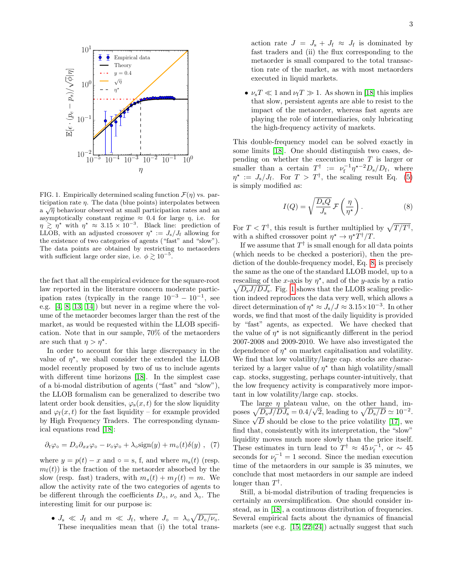

<span id="page-2-0"></span>FIG. 1. Empirically determined scaling function  $\mathcal{F}(\eta)$  vs. participation rate  $\eta$ . The data (blue points) interpolates between  $\alpha \sqrt{\eta}$  behaviour observed at small participation rates and an asymptotically constant regime  $\approx 0.4$  for large  $\eta$ , i.e. for  $\eta \gtrsim \eta^*$  with  $\eta^* \approx 3.15 \times 10^{-3}$ . Black line: prediction of LLOB, with an adjusted crossover  $\eta^* := J_s/J_f$  allowing for the existence of two categories of agents ("fast" and "slow"). The data points are obtained by restricting to metaorders with sufficient large order size, i.e.  $\phi \gtrsim 10^{-5}$ .

the fact that all the empirical evidence for the square-root law reported in the literature concern moderate participation rates (typically in the range  $10^{-3} - 10^{-1}$ , see e.g. [\[4,](#page-3-3) [8,](#page-4-14) [13,](#page-4-9) [14\]](#page-4-0)) but never in a regime where the volume of the metaorder becomes larger than the rest of the market, as would be requested within the LLOB specification. Note that in our sample, 70% of the metaorders are such that  $\eta > \eta^*$ .

In order to account for this large discrepancy in the value of  $\eta^*$ , we shall consider the extended the LLOB model recently proposed by two of us to include agents with different time horizons [\[18\]](#page-4-6). In the simplest case of a bi-modal distribution of agents ("fast" and "slow"), the LLOB formalism can be generalized to describe two latent order book densities,  $\varphi_s(x,t)$  for the slow liquidity and  $\varphi_f(x, t)$  for the fast liquidity – for example provided by High Frequency Traders. The corresponding dynamical equations read [\[18\]](#page-4-6):

$$
\partial_t \varphi_{\circ} = D_{\circ} \partial_{xx} \varphi_{\circ} - \nu_{\circ} \varphi_{\circ} + \lambda_{\circ} sign(y) + m_{\circ}(t) \delta(y) , \tag{7}
$$

where  $y = p(t) - x$  and ∘ = s, f, and where  $m_s(t)$  (resp.  $m_f(t)$  is the fraction of the metaorder absorbed by the slow (resp. fast) traders, with  $m_s(t) + m_f(t) = m$ . We allow the activity rate of the two categories of agents to be different through the coefficients  $D_{\circ}$ ,  $\nu_{\circ}$  and  $\lambda_{\circ}$ . The interesting limit for our purpose is:

•  $J_s \ll J_f$  and  $m \ll J_f$ , where  $J_o = \lambda_o \sqrt{D_o/\nu_o}$ . These inequalities mean that (i) the total trans-

action rate  $J = J_s + J_f \approx J_f$  is dominated by fast traders and (ii) the flux corresponding to the metaorder is small compared to the total transaction rate of the market, as with most metaorders executed in liquid markets.

•  $\nu_s T \ll 1$  and  $\nu_f T \gg 1$ . As shown in [\[18\]](#page-4-6) this implies that slow, persistent agents are able to resist to the impact of the metaorder, whereas fast agents are playing the role of intermediaries, only lubricating the high-frequency activity of markets.

This double-frequency model can be solved exactly in some limits [\[18\]](#page-4-6). One should distinguish two cases, depending on whether the execution time  $T$  is larger or smaller than a certain  $T^{\dagger}$  :=  $\nu_{\rm f}^{-1} \eta^{\star -2} D_{\rm s}/D_{\rm f}$ , where  $\eta^* := J_s/J_f$ . For  $T > T^{\dagger}$ , the scaling result Eq. [\(5\)](#page-1-1) is simply modified as:

<span id="page-2-1"></span>
$$
I(Q) = \sqrt{\frac{D_s Q}{J_s}} \mathcal{F}\left(\frac{\eta}{\eta^*}\right). \tag{8}
$$

For  $T < T^{\dagger}$ , this result is further multiplied by  $\sqrt{T/T^{\dagger}}$ , with a shifted crossover point  $\eta^* \to \eta^* T^{\dagger}/T$ .

If we assume that  $T^{\dagger}$  is small enough for all data points (which needs to be checked a posteriori), then the prediction of the double-frequency model, Eq. [8,](#page-2-1) is precisely the same as the one of the standard LLOB model, up to a rescaling of the x-axis by  $\eta^*$ , and of the y-axis by a ratio  $\sqrt{D_s J/D J_s}$ . Fig. [1](#page-2-0) shows that the LLOB scaling prediction indeed reproduces the data very well, which allows a direct determination of  $\eta^* \approx J_s/J \approx 3.15 \times 10^{-3}$ . In other words, we find that most of the daily liquidity is provided by "fast" agents, as expected. We have checked that the value of  $\eta^*$  is not significantly different in the period 2007-2008 and 2009-2010. We have also investigated the dependence of  $\eta^*$  on market capitalisation and volatility. We find that low volatility/large cap. stocks are characterized by a larger value of  $\eta^*$  than high volatility/small cap. stocks, suggesting, perhaps counter-intuitively, that the low frequency activity is comparatively more important in low volatility/large cap. stocks.

The large  $\eta$  plateau value, on the other hand, imposes  $\sqrt{D_s J/D_s} = 0.4/\sqrt{2}$ , leading to  $\sqrt{D_s/D} \simeq 10^{-2}$ . Since  $\sqrt{\overline{D}}$  should be close to the price volatility [\[17\]](#page-4-3), we find that, consistently with its interpretation, the "slow" liquidity moves much more slowly than the price itself. These estimates in turn lead to  $T^{\dagger} \approx 45 \nu_{\rm f}^{-1}$ , or ~ 45 seconds for  $\nu_f^{-1} = 1$  second. Since the median execution time of the metaorders in our sample is 35 minutes, we conclude that most metaorders in our sample are indeed longer than  $T^{\dagger}$ .

Still, a bi-modal distribution of trading frequencies is certainly an oversimplification. One should consider instead, as in [\[18\]](#page-4-6), a continuous distribution of frequencies. Several empirical facts about the dynamics of financial markets (see e.g. [\[15,](#page-4-1) [22](#page-4-15)[–24\]](#page-4-16)) actually suggest that such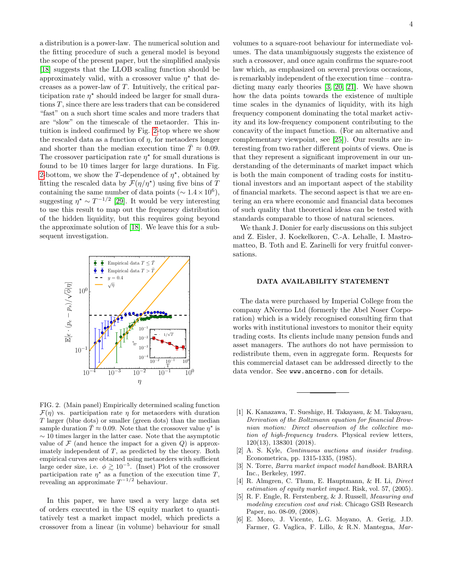a distribution is a power-law. The numerical solution and the fitting procedure of such a general model is beyond the scope of the present paper, but the simplified analysis [\[18\]](#page-4-6) suggests that the LLOB scaling function should be approximately valid, with a crossover value  $\eta^*$  that decreases as a power-law of T. Intuitively, the critical participation rate  $\eta^*$  should indeed be larger for small durations T, since there are less traders that can be considered "fast" on a such short time scales and more traders that are "slow" on the timescale of the metaorder. This intuition is indeed confirmed by Fig. [2-](#page-3-4)top where we show the rescaled data as a function of  $\eta$ , for metaoders longer and shorter than the median execution time  $\overline{T} \approx 0.09$ . The crossover participation rate  $\eta^*$  for small durations is found to be 10 times larger for large durations. In Fig. [2-](#page-3-4)bottom, we show the T-dependence of  $\eta^*$ , obtained by fitting the rescaled data by  $\mathcal{F}(\eta/\eta^*)$  using five bins of T containing the same number of data points ( $\sim 1.4 \times 10^6$ ), suggesting  $\eta^* \sim T^{-1/2}$  [\[29\]](#page-4-17). It would be very interesting to use this result to map out the frequency distribution of the hidden liquidity, but this requires going beyond the approximate solution of [\[18\]](#page-4-6). We leave this for a subsequent investigation.



<span id="page-3-4"></span>FIG. 2. (Main panel) Empirically determined scaling function  $\mathcal{F}(\eta)$  vs. participation rate  $\eta$  for metaorders with duration T larger (blue dots) or smaller (green dots) than the median sample duration  $\bar{T} \approx 0.09$ . Note that the crossover value  $\eta^*$  is  $\sim$  10 times larger in the latter case. Note that the asymptotic value of  $\mathcal F$  (and hence the impact for a given  $Q$ ) is approximately independent of  $T$ , as predicted by the theory. Both empirical curves are obtained using metaorders with sufficient large order size, i.e.  $\phi \gtrsim 10^{-5}$ . (Inset) Plot of the crossover participation rate  $\eta^*$  as a function of the execution time T, revealing an approximate  $T^{-1/2}$  behaviour.

In this paper, we have used a very large data set of orders executed in the US equity market to quantitatively test a market impact model, which predicts a crossover from a linear (in volume) behaviour for small

volumes to a square-root behaviour for intermediate volumes. The data unambiguously suggests the existence of such a crossover, and once again confirms the square-root law which, as emphasized on several previous occasions, is remarkably independent of the execution time – contradicting many early theories [\[3,](#page-3-2) [20,](#page-4-11) [21\]](#page-4-12). We have shown how the data points towards the existence of multiple time scales in the dynamics of liquidity, with its high frequency component dominating the total market activity and its low-frequency component contributing to the concavity of the impact function. (For an alternative and complementary viewpoint, see [\[25\]](#page-4-18)). Our results are interesting from two rather different points of views. One is that they represent a significant improvement in our understanding of the determinants of market impact which is both the main component of trading costs for institutional investors and an important aspect of the stability of financial markets. The second aspect is that we are entering an era where economic and financial data becomes of such quality that theoretical ideas can be tested with standards comparable to those of natural sciences.

We thank J. Donier for early discussions on this subject and Z. Eisler, J. Kockelkoren, C.-A. Lehalle, I. Mastromatteo, B. Toth and E. Zarinelli for very fruitful conversations.

## DATA AVAILABILITY STATEMENT

The data were purchased by Imperial College from the company ANcerno Ltd (formerly the Abel Noser Corporation) which is a widely recognised consulting firm that works with institutional investors to monitor their equity trading costs. Its clients include many pension funds and asset managers. The authors do not have permission to redistribute them, even in aggregate form. Requests for this commercial dataset can be addressed directly to the data vendor. See www.ancerno.com for details.

- <span id="page-3-0"></span>[1] K. Kanazawa, T. Sueshige, H. Takayasu, & M. Takayasu, Derivation of the Boltzmann equation for financial Brownian motion: Direct observation of the collective motion of high-frequency traders. Physical review letters, 120(13), 138301 (2018).
- <span id="page-3-1"></span>[2] A. S. Kyle, Continuous auctions and insider trading. Econometrica, pp. 1315-1335, (1985).
- <span id="page-3-2"></span>[3] N. Torre, Barra market impact model handbook. BARRA Inc., Berkeley, 1997.
- <span id="page-3-3"></span>[4] R. Almgren, C. Thum, E. Hauptmann, & H. Li, *Direct* estimation of equity market impact. Risk, vol. 57, (2005).
- [5] R. F. Engle, R. Ferstenberg, & J. Russell, Measuring and modeling execution cost and risk. Chicago GSB Research Paper, no. 08-09, (2008).
- [6] E. Moro, J. Vicente, L.G. Moyano, A. Gerig, J.D. Farmer, G. Vaglica, F. Lillo, & R.N. Mantegna, Mar-